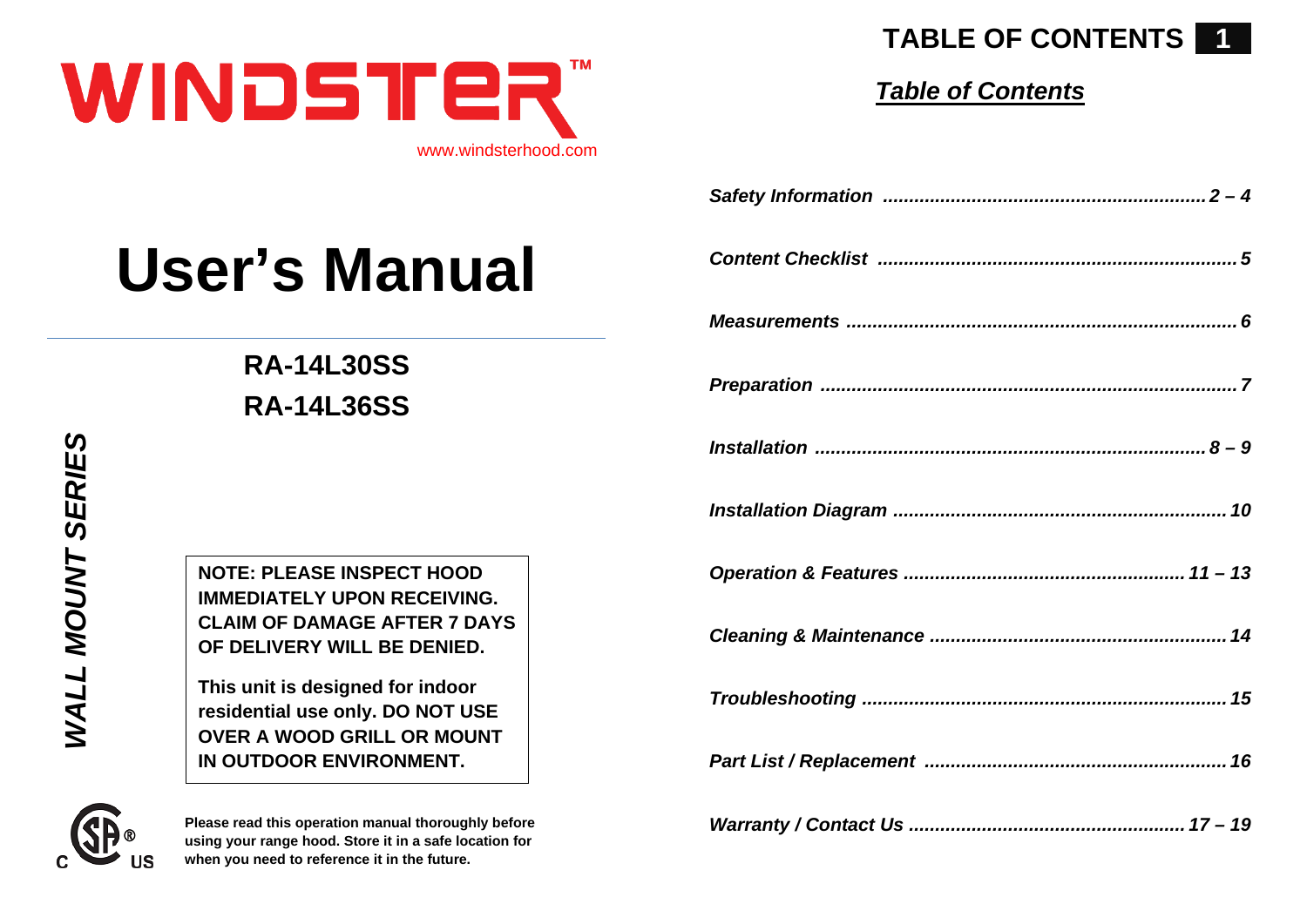

## *Table of Contents*



# **User's Manual**

# **RA-14L30SS RA-14L36SS**

*WALL MOUNT SERIES NALL MOUNT SERIES* 

**NOTE: PLEASE INSPECT HOOD IMMEDIATELY UPON RECEIVING. CLAIM OF DAMAGE AFTER 7 DAYS OF DELIVERY WILL BE DENIED.** 

**This unit is designed for indoor residential use only. DO NOT USE OVER A WOOD GRILL OR MOUNT IN OUTDOOR ENVIRONMENT.**



**Please read this operation manual thoroughly before using your range hood. Store it in a safe location for when you need to reference it in the future.**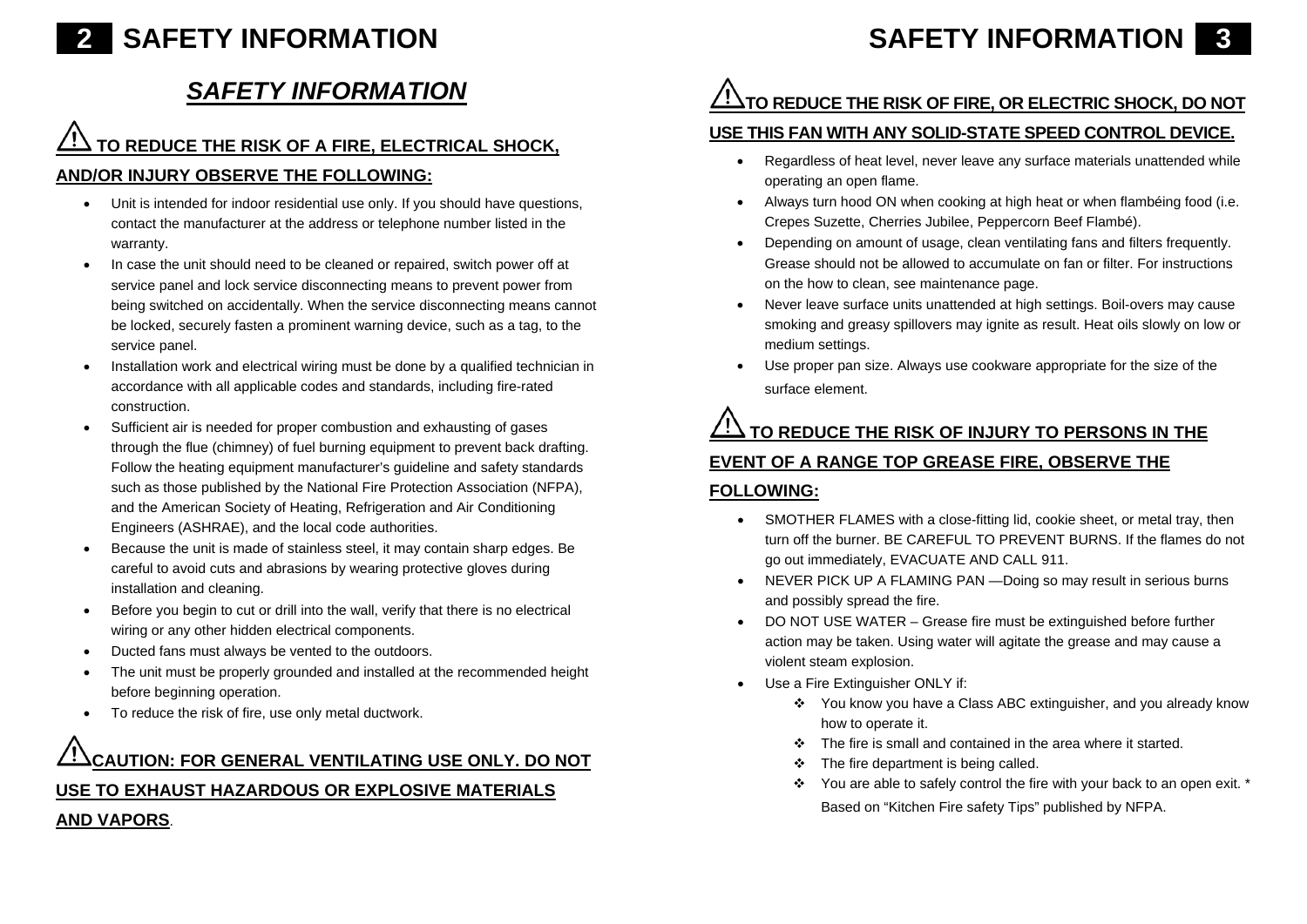**2 SAFETY INFORMATION** 

# *SAFETY INFORMATION*

# **TO REDUCE THE RISK OF A FIRE, ELECTRICAL SHOCK,**

#### **AND/OR INJURY OBSERVE THE FOLLOWING:**

- Unit is intended for indoor residential use only. If you should have questions, contact the manufacturer at the address or telephone number listed in the warranty.
- In case the unit should need to be cleaned or repaired, switch power off at service panel and lock service disconnecting means to prevent power from being switched on accidentally. When the service disconnecting means cannot be locked, securely fasten a prominent warning device, such as a tag, to the service panel.
- Installation work and electrical wiring must be done by a qualified technician in accordance with all applicable codes and standards, including fire-rated construction.
- Sufficient air is needed for proper combustion and exhausting of gases through the flue (chimney) of fuel burning equipment to prevent back drafting. Follow the heating equipment manufacturer's guideline and safety standards such as those published by the National Fire Protection Association (NFPA), and the American Society of Heating, Refrigeration and Air Conditioning Engineers (ASHRAE), and the local code authorities.
- Because the unit is made of stainless steel, it may contain sharp edges. Be careful to avoid cuts and abrasions by wearing protective gloves during installation and cleaning.
- Before you begin to cut or drill into the wall, verify that there is no electrical wiring or any other hidden electrical components.
- Ducted fans must always be vented to the outdoors.
- The unit must be properly grounded and installed at the recommended height before beginning operation.
- To reduce the risk of fire, use only metal ductwork.

# **CAUTION: FOR GENERAL VENTILATING USE ONLY. DO NOT USE TO EXHAUST HAZARDOUS OR EXPLOSIVE MATERIALS**

#### **AND VAPORS**.

# **SAFETY INFORMATION 3**

# **TO REDUCE THE RISK OF FIRE, OR ELECTRIC SHOCK, DO NOT**

#### **USE THIS FAN WITH ANY SOLID-STATE SPEED CONTROL DEVICE.**

- Regardless of heat level, never leave any surface materials unattended while operating an open flame.
- Always turn hood ON when cooking at high heat or when flambéing food (i.e. Crepes Suzette, Cherries Jubilee, Peppercorn Beef Flambé).
- Depending on amount of usage, clean ventilating fans and filters frequently. Grease should not be allowed to accumulate on fan or filter. For instructions on the how to clean, see maintenance page.
- Never leave surface units unattended at high settings. Boil-overs may cause smoking and greasy spillovers may ignite as result. Heat oils slowly on low or medium settings.
- Use proper pan size. Always use cookware appropriate for the size of the surface element.

# **TO REDUCE THE RISK OF INJURY TO PERSONS IN THE EVENT OF A RANGE TOP GREASE FIRE, OBSERVE THE**

#### **FOLLOWING:**

- SMOTHER FLAMES with a close-fitting lid, cookie sheet, or metal tray, then turn off the burner. BE CAREFUL TO PREVENT BURNS. If the flames do not go out immediately, EVACUATE AND CALL 911.
- NEVER PICK UP A FLAMING PAN —Doing so may result in serious burns and possibly spread the fire.
- DO NOT USE WATER Grease fire must be extinguished before further action may be taken. Using water will agitate the grease and may cause a violent steam explosion.
- Use a Fire Extinguisher ONLY if:
	- \* You know you have a Class ABC extinguisher, and you already know how to operate it.
	- $\div$  The fire is small and contained in the area where it started.
	- $\div$  The fire department is being called.
	- \* You are able to safely control the fire with your back to an open exit. \*

Based on "Kitchen Fire safety Tips" published by NFPA.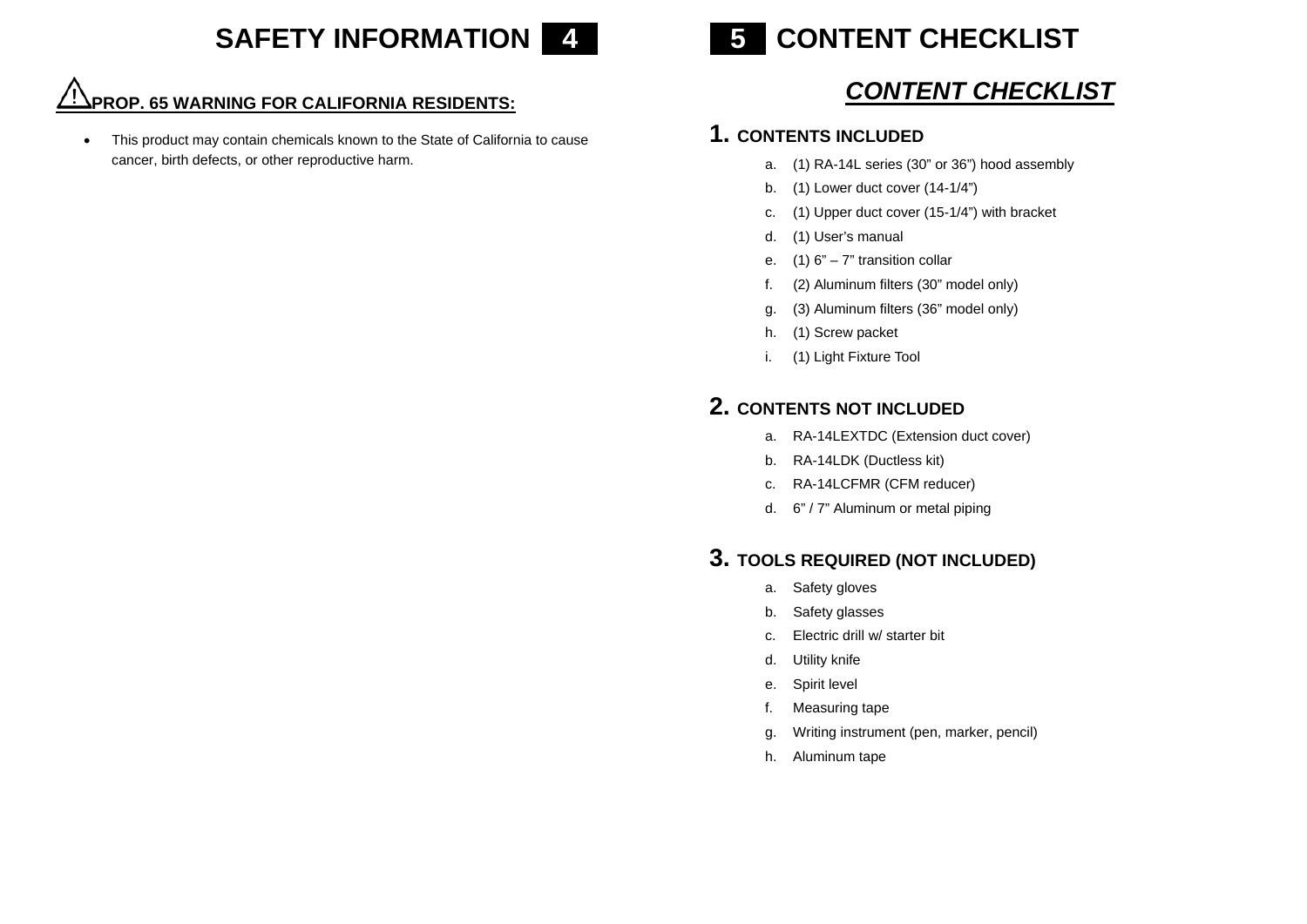# **SAFETY INFORMATION 4**

# **PROP. 65 WARNING FOR CALIFORNIA RESIDENTS:**

• This product may contain chemicals known to the State of California to cause cancer, birth defects, or other reproductive harm.



# *CONTENT CHECKLIST*

### **1. CONTENTS INCLUDED**

- a. (1) RA-14L series (30" or 36") hood assembly
- b.  $(1)$  Lower duct cover  $(14-1/4")$
- c. (1) Upper duct cover (15-1/4") with bracket
- d. (1) User's manual
- e.  $(1)$  6" 7" transition collar
- f. (2) Aluminum filters (30" model only)
- g. (3) Aluminum filters (36" model only)
- h. (1) Screw packet
- i. (1) Light Fixture Tool

## **2. CONTENTS NOT INCLUDED**

- a. RA-14LEXTDC (Extension duct cover)
- b. RA-14LDK (Ductless kit)
- c. RA-14LCFMR (CFM reducer)
- d. 6" / 7" Aluminum or metal piping

## **3. TOOLS REQUIRED (NOT INCLUDED)**

- a. Safety gloves
- b. Safety glasses
- c. Electric drill w/ starter bit
- d. Utility knife
- e. Spirit level
- f. Measuring tape
- g. Writing instrument (pen, marker, pencil)
- h. Aluminum tape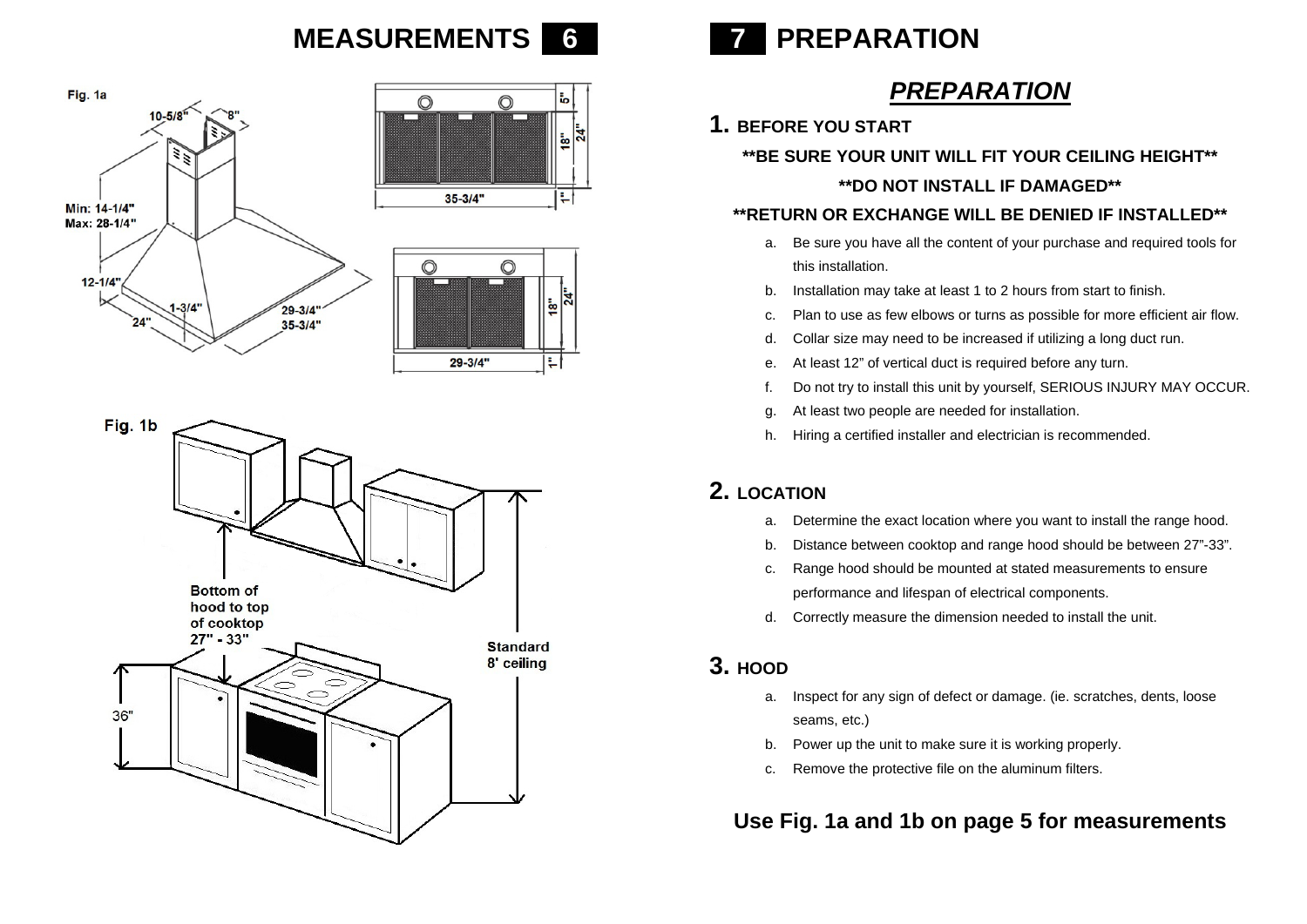# **MEASUREMENTS**







## *PREPARATION*

### **1. BEFORE YOU START**

**\*\*BE SURE YOUR UNIT WILL FIT YOUR CEILING HEIGHT\*\* \*\*DO NOT INSTALL IF DAMAGED\*\*** 

#### **\*\*RETURN OR EXCHANGE WILL BE DENIED IF INSTALLED\*\***

- a. Be sure you have all the content of your purchase and required tools for this installation.
- b. Installation may take at least 1 to 2 hours from start to finish.
- c. Plan to use as few elbows or turns as possible for more efficient air flow.
- d. Collar size may need to be increased if utilizing a long duct run.
- e. At least 12" of vertical duct is required before any turn.
- f. Do not try to install this unit by yourself, SERIOUS INJURY MAY OCCUR.
- g. At least two people are needed for installation.
- h. Hiring a certified installer and electrician is recommended.

## **2. LOCATION**

- a. Determine the exact location where you want to install the range hood.
- b. Distance between cooktop and range hood should be between 27"-33".
- c. Range hood should be mounted at stated measurements to ensure performance and lifespan of electrical components.
- d. Correctly measure the dimension needed to install the unit.

## **3. HOOD**

- a. Inspect for any sign of defect or damage. (ie. scratches, dents, loose seams, etc.)
- b. Power up the unit to make sure it is working properly.
- c. Remove the protective file on the aluminum filters.

## **Use Fig. 1a and 1b on page 5 for measurements**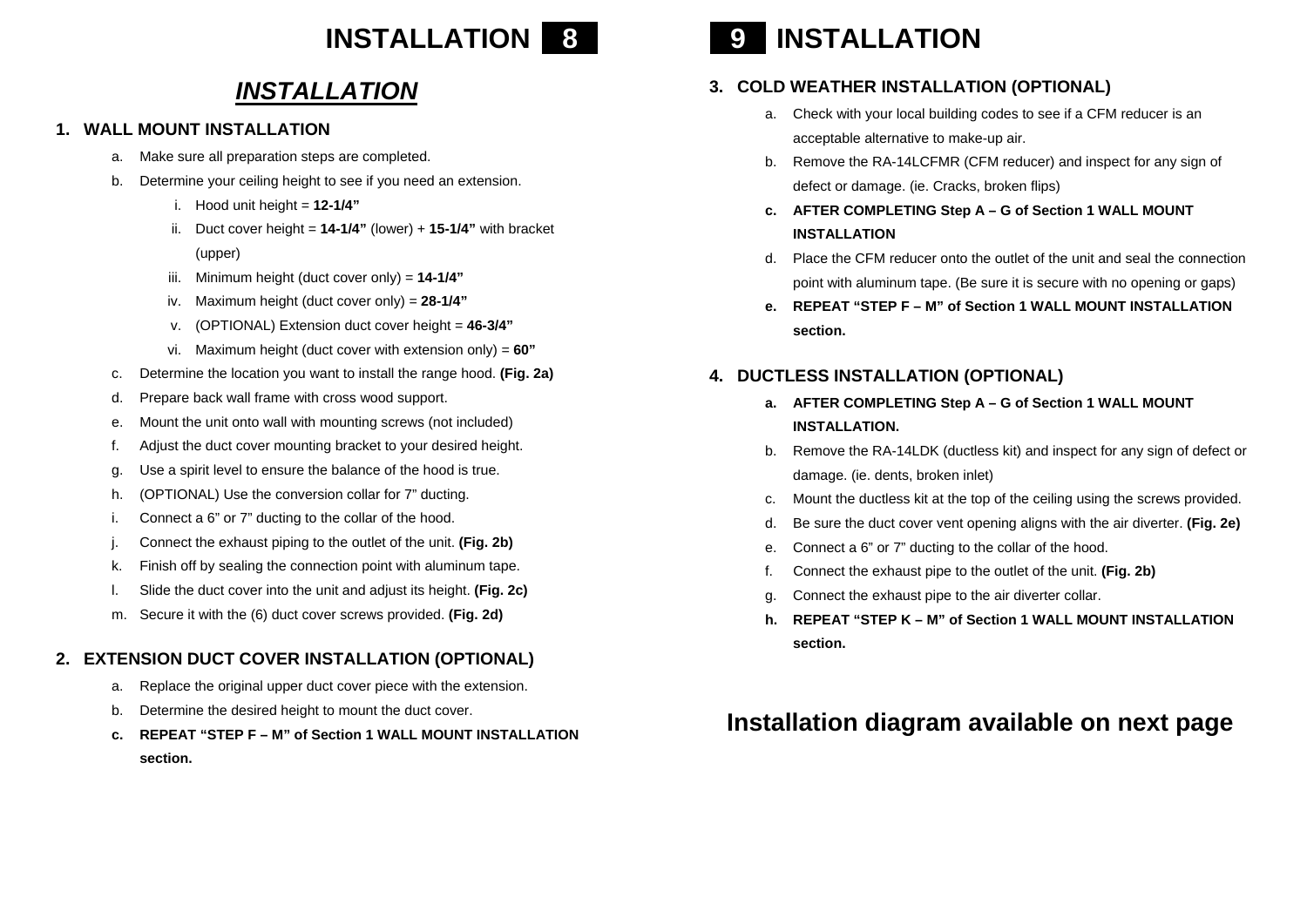# **INSTALLATION 8**

## *INSTALLATION*

#### **1. WALL MOUNT INSTALLATION**

- a. Make sure all preparation steps are completed.
- b. Determine your ceiling height to see if you need an extension.
	- i. Hood unit height  $= 12-1/4"$
	- ii. Duct cover height = **14-1/4"** (lower) + **15-1/4"** with bracket (upper)
	- iii. Minimum height (duct cover only) = **14-1/4"**
	- iv. Maximum height (duct cover only) = **28-1/4"**
	- v. (OPTIONAL) Extension duct cover height = **46-3/4"**
	- vi. Maximum height (duct cover with extension only) = **60"**
- c. Determine the location you want to install the range hood. **(Fig. 2a)**
- d. Prepare back wall frame with cross wood support.
- e. Mount the unit onto wall with mounting screws (not included)
- f. Adjust the duct cover mounting bracket to your desired height.
- g. Use a spirit level to ensure the balance of the hood is true.
- h. (OPTIONAL) Use the conversion collar for 7" ducting.
- Connect a 6" or 7" ducting to the collar of the hood.
- j. Connect the exhaust piping to the outlet of the unit. **(Fig. 2b)**
- k. Finish off by sealing the connection point with aluminum tape.
- l. Slide the duct cover into the unit and adjust its height. **(Fig. 2c)**
- m. Secure it with the (6) duct cover screws provided. **(Fig. 2d)**

#### **2. EXTENSION DUCT COVER INSTALLATION (OPTIONAL)**

- a. Replace the original upper duct cover piece with the extension.
- b. Determine the desired height to mount the duct cover.
- **c. REPEAT "STEP F M" of Section 1 WALL MOUNT INSTALLATION section.**



#### **3. COLD WEATHER INSTALLATION (OPTIONAL)**

- a. Check with your local building codes to see if a CFM reducer is an acceptable alternative to make-up air.
- b. Remove the RA-14LCFMR (CFM reducer) and inspect for any sign of defect or damage. (ie. Cracks, broken flips)
- **c. AFTER COMPLETING Step A G of Section 1 WALL MOUNT INSTALLATION**
- d. Place the CFM reducer onto the outlet of the unit and seal the connection point with aluminum tape. (Be sure it is secure with no opening or gaps)
- **e. REPEAT "STEP F M" of Section 1 WALL MOUNT INSTALLATION section.**

#### **4. DUCTLESS INSTALLATION (OPTIONAL)**

- **a. AFTER COMPLETING Step A G of Section 1 WALL MOUNT INSTALLATION.**
- b. Remove the RA-14LDK (ductless kit) and inspect for any sign of defect or damage. (ie. dents, broken inlet)
- c. Mount the ductless kit at the top of the ceiling using the screws provided.
- d. Be sure the duct cover vent opening aligns with the air diverter. **(Fig. 2e)**
- e. Connect a 6" or 7" ducting to the collar of the hood.
- f. Connect the exhaust pipe to the outlet of the unit. **(Fig. 2b)**
- g. Connect the exhaust pipe to the air diverter collar.
- **h. REPEAT "STEP K M" of Section 1 WALL MOUNT INSTALLATION section.**

## **Installation diagram available on next page**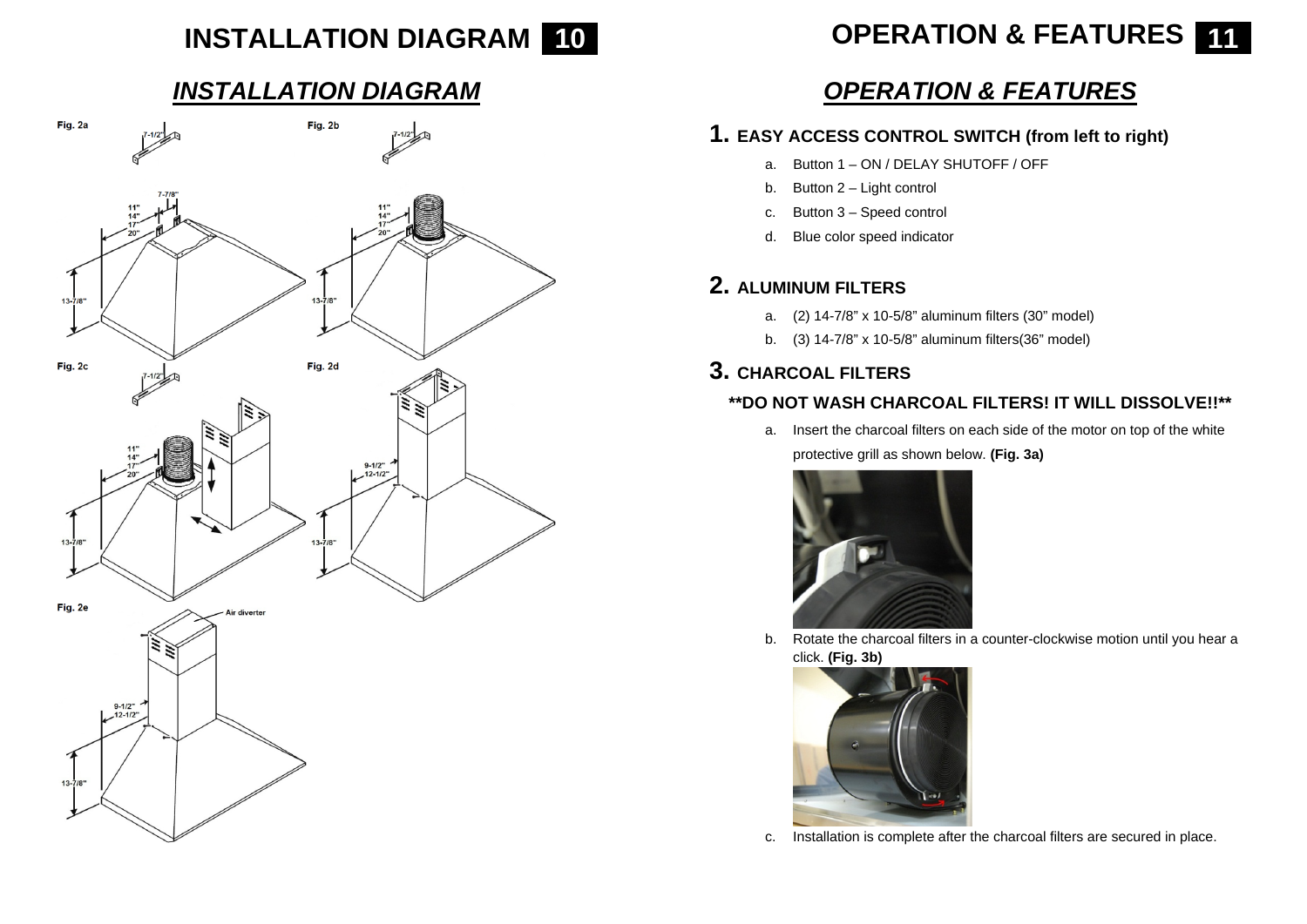# **INSTALLATION DIAGRAM 10**

*INSTALLATION DIAGRAM* 

# Fig. 2a Fig. 2b  $13 - 7/8$  $13 - 7/8$ Fig. 2d Fig. 2c  $9 - 1/2$  $.12 - 1/2$  $13 - 7/8$ 13 7/8 Fig. 2e  $9-1/2"$ <br>-12-1/2

 $13 - 718$ 

# **OPERATION & FEATURES 11**

# *OPERATION & FEATURES*

## **1. EASY ACCESS CONTROL SWITCH (from left to right)**

- a. Button 1 ON / DELAY SHUTOFF / OFF
- b. Button 2 Light control
- c. Button 3 Speed control
- d. Blue color speed indicator

## **2. ALUMINUM FILTERS**

- a. (2) 14-7/8" x 10-5/8" aluminum filters (30" model)
- b. (3) 14-7/8" x 10-5/8" aluminum filters(36" model)

## **3. CHARCOAL FILTERS**

#### **\*\*DO NOT WASH CHARCOAL FILTERS! IT WILL DISSOLVE!!\*\***

a. Insert the charcoal filters on each side of the motor on top of the white protective grill as shown below. **(Fig. 3a)**



b. Rotate the charcoal filters in a counter-clockwise motion until you hear a click. **(Fig. 3b)**



c. Installation is complete after the charcoal filters are secured in place.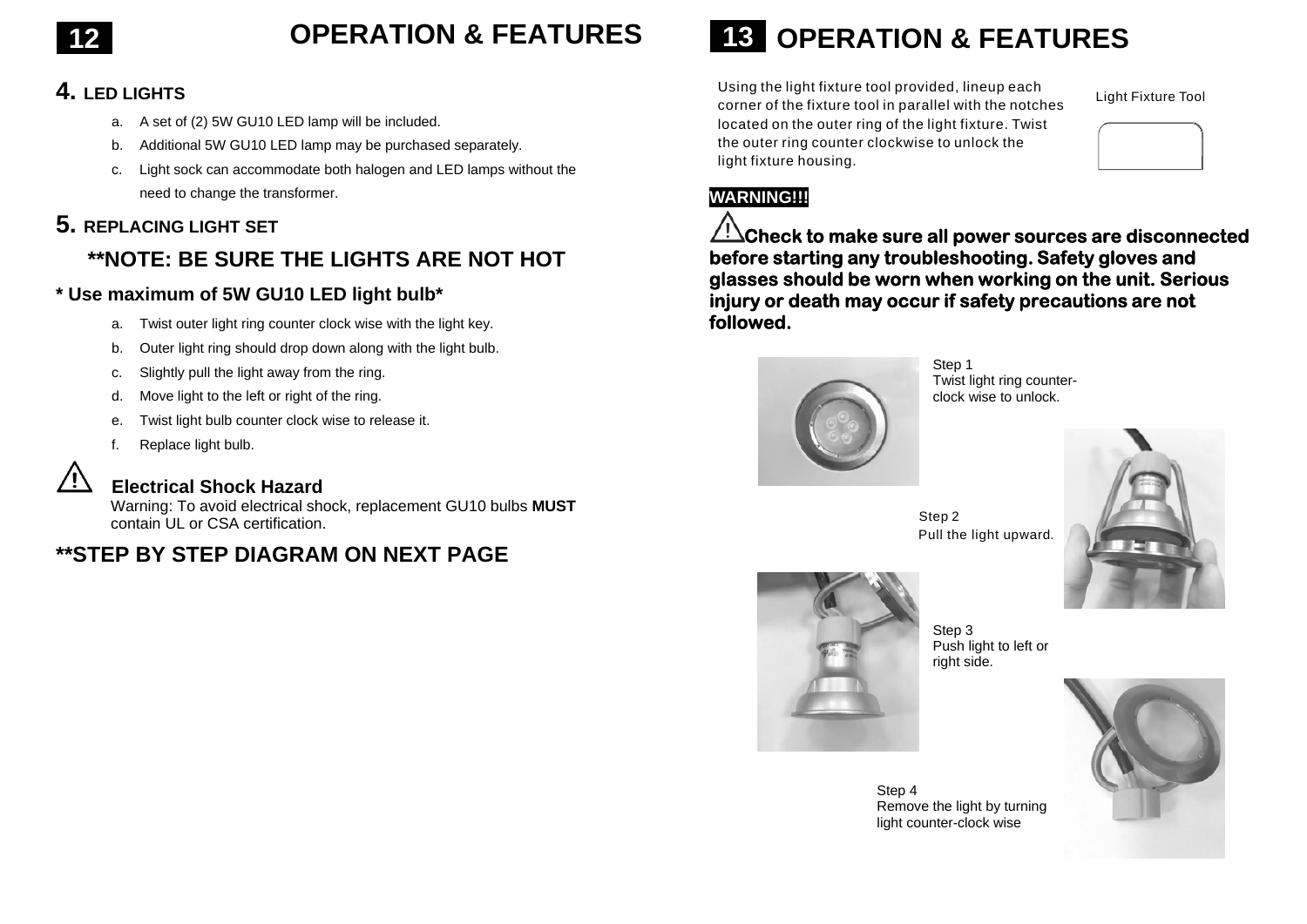# **12 OPERATION & FEATURES**

## **4. LED LIGHTS**

- a. A set of (2) 5W GU10 LED lamp will be included.
- b. Additional 5W GU10 LED lamp may be purchased separately.
- c. Light sock can accommodate both halogen and LED lamps without the need to change the transformer.

### **5. REPLACING LIGHT SET**

## **\*\*NOTE: BE SURE THE LIGHTS ARE NOT HOT**

#### **\* Use maximum of 5W GU10 LED light bulb\***

- a. Twist outer light ring counter clock wise with the light key.
- b. Outer light ring should drop down along with the light bulb.
- c. Slightly pull the light away from the ring.
- d. Move light to the left or right of the ring.
- e. Twist light bulb counter clock wise to release it.
- f. Replace light bulb.

## **Electrical Shock Hazard**

Warning: To avoid electrical shock, replacement GU10 bulbs **MUST**  contain UL or CSA certification.

# **\*\*STEP BY STEP DIAGRAM ON NEXT PAGE**

**13 OPERATION & FEATURES** 

Using the light fixture tool provided, lineup each corner of the fixture tool in parallel with the notches located on the outer ring of the light fixture. Twist the outer ring counter clockwise to unlock the light fixture housing.

Light Fixture Tool



## **WARNING!!!**

**Check to make sure all power sources are disconnected before starting any troubleshooting. Safety gloves and glasses should be worn when working on the unit. Serious injury or death may occur if safety precautions are not followed.**



Step 1 Twist light ring counterclock wise to unlock.

Step 2 Pull the light upward.



Step 3 Push light to left or right side.



 Step 4 Remove the light by turning light counter-clock wise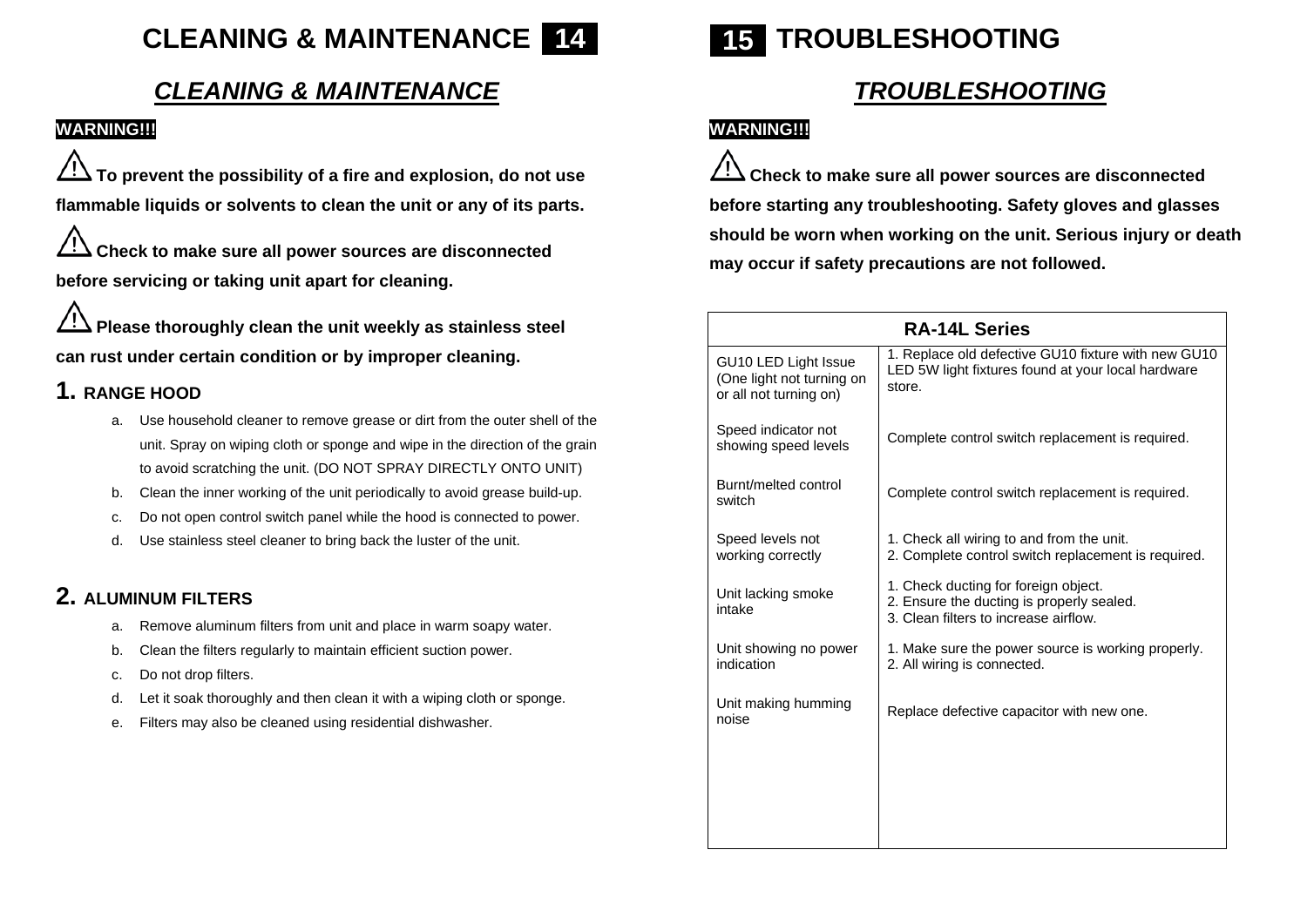# **CLEANING & MAINTENANCE 14**

# *CLEANING & MAINTENANCE*

#### **WARNING!!!**

 **To prevent the possibility of a fire and explosion, do not use flammable liquids or solvents to clean the unit or any of its parts.** 

/!\  **Check to make sure all power sources are disconnected before servicing or taking unit apart for cleaning.** 

 **Please thoroughly clean the unit weekly as stainless steel can rust under certain condition or by improper cleaning.** 

### **1. RANGE HOOD**

- a. Use household cleaner to remove grease or dirt from the outer shell of the unit. Spray on wiping cloth or sponge and wipe in the direction of the grain to avoid scratching the unit. (DO NOT SPRAY DIRECTLY ONTO UNIT)
- b. Clean the inner working of the unit periodically to avoid grease build-up.
- c. Do not open control switch panel while the hood is connected to power.
- d. Use stainless steel cleaner to bring back the luster of the unit.

## **2. ALUMINUM FILTERS**

- a. Remove aluminum filters from unit and place in warm soapy water.
- b. Clean the filters regularly to maintain efficient suction power.
- c. Do not drop filters.
- d. Let it soak thoroughly and then clean it with a wiping cloth or sponge.
- e. Filters may also be cleaned using residential dishwasher.



# *TROUBLESHOOTING*

#### **WARNING!!!**

<u>/!\</u> **Check to make sure all power sources are disconnected before starting any troubleshooting. Safety gloves and glasses should be worn when working on the unit. Serious injury or death may occur if safety precautions are not followed.** 

| <b>RA-14L Series</b>                                                        |                                                                                                                            |  |  |  |
|-----------------------------------------------------------------------------|----------------------------------------------------------------------------------------------------------------------------|--|--|--|
| GU10 LED Light Issue<br>(One light not turning on<br>or all not turning on) | 1. Replace old defective GU10 fixture with new GU10<br>LED 5W light fixtures found at your local hardware<br>store.        |  |  |  |
| Speed indicator not<br>showing speed levels                                 | Complete control switch replacement is required.                                                                           |  |  |  |
| Burnt/melted control<br>switch                                              | Complete control switch replacement is required.                                                                           |  |  |  |
| Speed levels not<br>working correctly                                       | 1. Check all wiring to and from the unit.<br>2. Complete control switch replacement is required.                           |  |  |  |
| Unit lacking smoke<br>intake                                                | 1. Check ducting for foreign object.<br>2. Ensure the ducting is properly sealed.<br>3. Clean filters to increase airflow. |  |  |  |
| Unit showing no power<br>indication                                         | 1. Make sure the power source is working properly.<br>2. All wiring is connected.                                          |  |  |  |
| Unit making humming<br>noise                                                | Replace defective capacitor with new one.                                                                                  |  |  |  |
|                                                                             |                                                                                                                            |  |  |  |
|                                                                             |                                                                                                                            |  |  |  |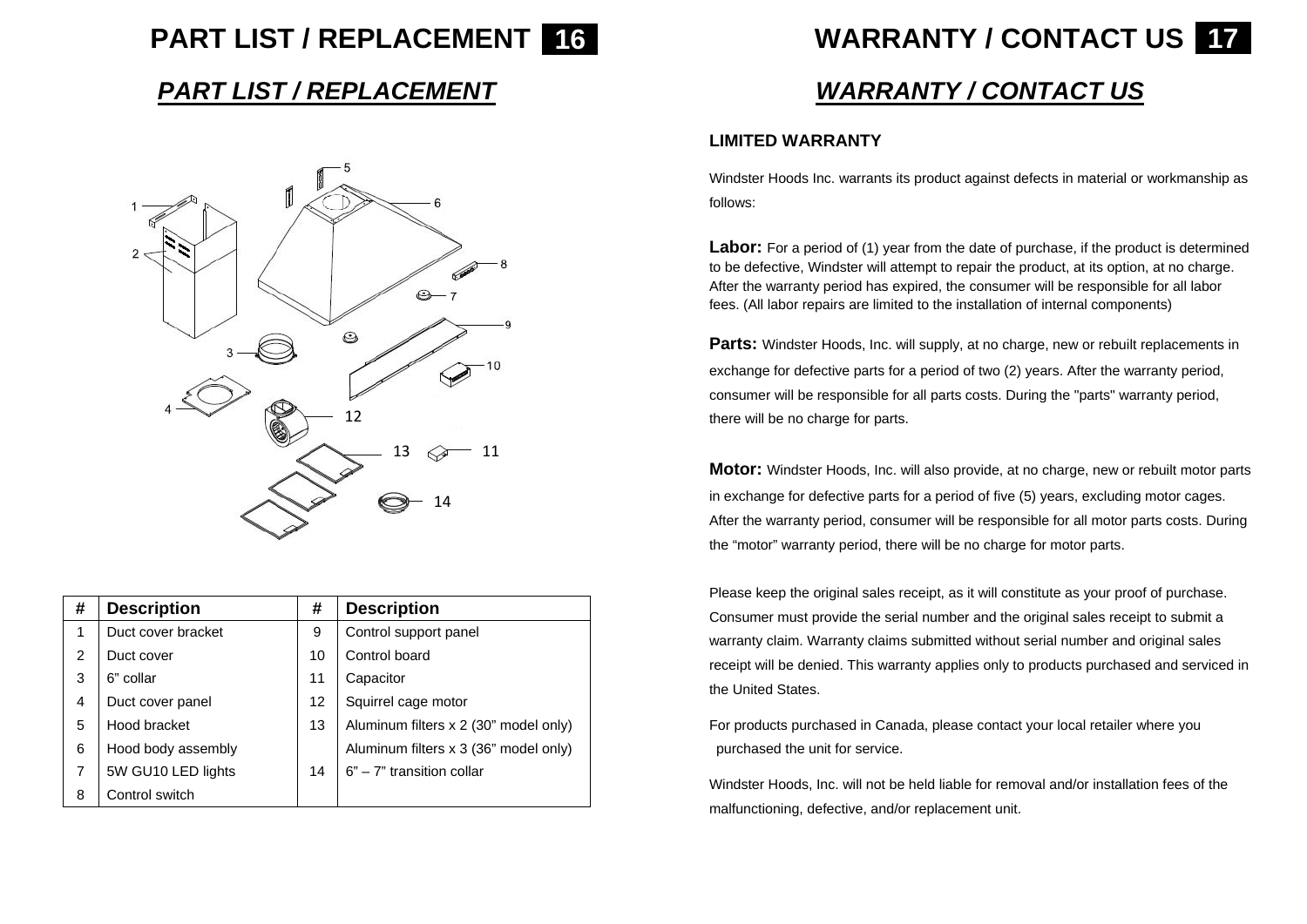# **PART LIST / REPLACEMENT 16**

# *PART LIST / REPLACEMENT*



| #              | <b>Description</b> | #  | <b>Description</b>                    |
|----------------|--------------------|----|---------------------------------------|
| 1              | Duct cover bracket | 9  | Control support panel                 |
| 2              | Duct cover         | 10 | Control board                         |
| 3              | 6" collar          | 11 | Capacitor                             |
| 4              | Duct cover panel   | 12 | Squirrel cage motor                   |
| 5              | Hood bracket       | 13 | Aluminum filters x 2 (30" model only) |
| 6              | Hood body assembly |    | Aluminum filters x 3 (36" model only) |
| $\overline{7}$ | 5W GU10 LED lights | 14 | $6" - 7"$ transition collar           |
| 8              | Control switch     |    |                                       |

# **WARRANTY / CONTACT US 17**

# *WARRANTY / CONTACT US*

#### **LIMITED WARRANTY**

Windster Hoods Inc. warrants its product against defects in material or workmanship as follows:

**Labor:** For a period of (1) year from the date of purchase, if the product is determined to be defective, Windster will attempt to repair the product, at its option, at no charge. After the warranty period has expired, the consumer will be responsible for all labor fees. (All labor repairs are limited to the installation of internal components)

**Parts:** Windster Hoods, Inc. will supply, at no charge, new or rebuilt replacements in exchange for defective parts for a period of two (2) years. After the warranty period, consumer will be responsible for all parts costs. During the "parts" warranty period, there will be no charge for parts.

**Motor:** Windster Hoods, Inc. will also provide, at no charge, new or rebuilt motor parts in exchange for defective parts for a period of five (5) years, excluding motor cages. After the warranty period, consumer will be responsible for all motor parts costs. During the "motor" warranty period, there will be no charge for motor parts.

Please keep the original sales receipt, as it will constitute as your proof of purchase. Consumer must provide the serial number and the original sales receipt to submit a warranty claim. Warranty claims submitted without serial number and original sales receipt will be denied. This warranty applies only to products purchased and serviced in the United States.

For products purchased in Canada, please contact your local retailer where you purchased the unit for service.

Windster Hoods, Inc. will not be held liable for removal and/or installation fees of the malfunctioning, defective, and/or replacement unit.